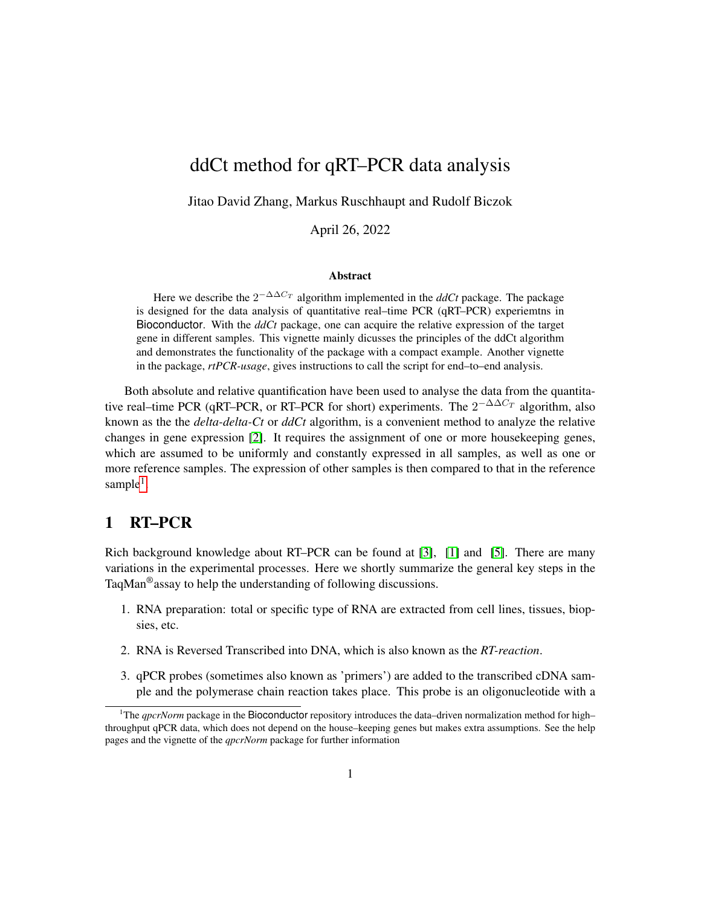# ddCt method for qRT–PCR data analysis

Jitao David Zhang, Markus Ruschhaupt and Rudolf Biczok

April 26, 2022

#### Abstract

Here we describe the  $2^{-\Delta\Delta C_T}$  algorithm implemented in the  $ddCt$  package. The package is designed for the data analysis of quantitative real–time PCR (qRT–PCR) experiemtns in Bioconductor. With the *ddCt* package, one can acquire the relative expression of the target gene in different samples. This vignette mainly dicusses the principles of the ddCt algorithm and demonstrates the functionality of the package with a compact example. Another vignette in the package, *rtPCR-usage*, gives instructions to call the script for end–to–end analysis.

Both absolute and relative quantification have been used to analyse the data from the quantitative real–time PCR (qRT–PCR, or RT–PCR for short) experiments. The  $2^{-\Delta\Delta C_T}$  algorithm, also known as the the *delta-delta-Ct* or *ddCt* algorithm, is a convenient method to analyze the relative changes in gene expression [\[2\]](#page-7-0). It requires the assignment of one or more housekeeping genes, which are assumed to be uniformly and constantly expressed in all samples, as well as one or more reference samples. The expression of other samples is then compared to that in the reference sample<sup>[1](#page-0-0)</sup>.

### <span id="page-0-1"></span>1 RT–PCR

Rich background knowledge about RT–PCR can be found at [\[3\]](#page-7-1), [\[1\]](#page-7-2) and [\[5\]](#page-7-3). There are many variations in the experimental processes. Here we shortly summarize the general key steps in the TaqMan<sup>®</sup> assay to help the understanding of following discussions.

- 1. RNA preparation: total or specific type of RNA are extracted from cell lines, tissues, biopsies, etc.
- 2. RNA is Reversed Transcribed into DNA, which is also known as the *RT-reaction*.
- 3. qPCR probes (sometimes also known as 'primers') are added to the transcribed cDNA sample and the polymerase chain reaction takes place. This probe is an oligonucleotide with a

<span id="page-0-0"></span><sup>&</sup>lt;sup>1</sup>The *qpcrNorm* package in the Bioconductor repository introduces the data–driven normalization method for high– throughput qPCR data, which does not depend on the house–keeping genes but makes extra assumptions. See the help pages and the vignette of the *qpcrNorm* package for further information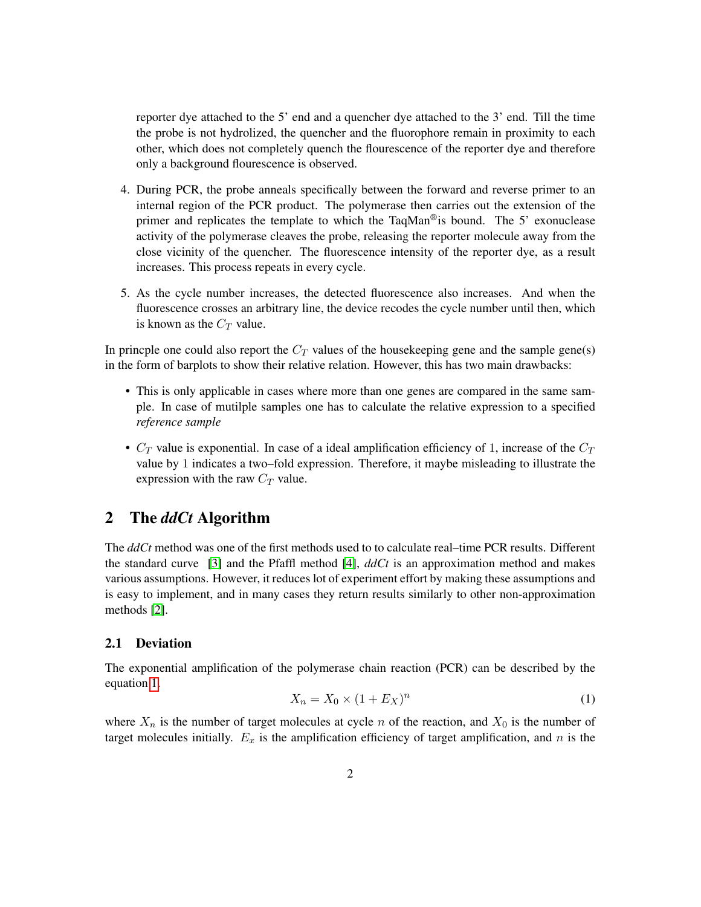reporter dye attached to the 5' end and a quencher dye attached to the 3' end. Till the time the probe is not hydrolized, the quencher and the fluorophore remain in proximity to each other, which does not completely quench the flourescence of the reporter dye and therefore only a background flourescence is observed.

- 4. During PCR, the probe anneals specifically between the forward and reverse primer to an internal region of the PCR product. The polymerase then carries out the extension of the primer and replicates the template to which the TaqMan®is bound. The 5' exonuclease activity of the polymerase cleaves the probe, releasing the reporter molecule away from the close vicinity of the quencher. The fluorescence intensity of the reporter dye, as a result increases. This process repeats in every cycle.
- 5. As the cycle number increases, the detected fluorescence also increases. And when the fluorescence crosses an arbitrary line, the device recodes the cycle number until then, which is known as the  $C_T$  value.

In princple one could also report the  $C_T$  values of the housekeeping gene and the sample gene(s) in the form of barplots to show their relative relation. However, this has two main drawbacks:

- This is only applicable in cases where more than one genes are compared in the same sample. In case of mutilple samples one has to calculate the relative expression to a specified *reference sample*
- $C_T$  value is exponential. In case of a ideal amplification efficiency of 1, increase of the  $C_T$ value by 1 indicates a two–fold expression. Therefore, it maybe misleading to illustrate the expression with the raw  $C_T$  value.

## 2 The *ddCt* Algorithm

The *ddCt* method was one of the first methods used to to calculate real–time PCR results. Different the standard curve [\[3\]](#page-7-1) and the Pfaffl method [\[4\]](#page-7-4), *ddCt* is an approximation method and makes various assumptions. However, it reduces lot of experiment effort by making these assumptions and is easy to implement, and in many cases they return results similarly to other non-approximation methods [\[2\]](#page-7-0).

#### 2.1 Deviation

The exponential amplification of the polymerase chain reaction (PCR) can be described by the equation [1.](#page-1-0)

<span id="page-1-0"></span>
$$
X_n = X_0 \times (1 + E_X)^n \tag{1}
$$

where  $X_n$  is the number of target molecules at cycle n of the reaction, and  $X_0$  is the number of target molecules initially.  $E_x$  is the amplification efficiency of target amplification, and n is the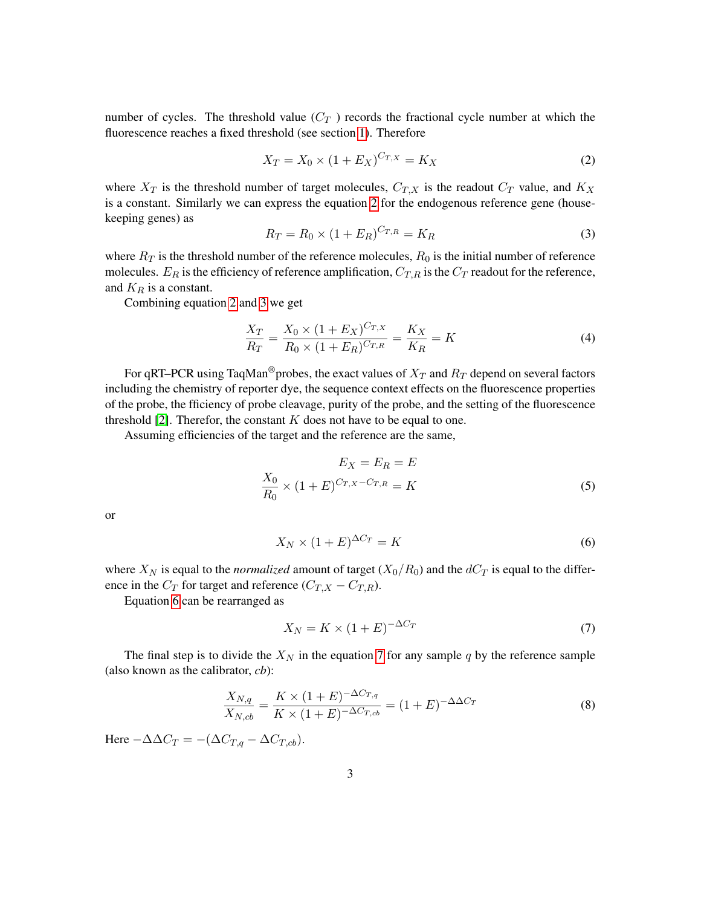number of cycles. The threshold value  $(C_T)$  records the fractional cycle number at which the fluorescence reaches a fixed threshold (see section [1\)](#page-0-1). Therefore

<span id="page-2-0"></span>
$$
X_T = X_0 \times (1 + E_X)^{C_{T,X}} = K_X \tag{2}
$$

where  $X_T$  is the threshold number of target molecules,  $C_{T,X}$  is the readout  $C_T$  value, and  $K_X$ is a constant. Similarly we can express the equation [2](#page-2-0) for the endogenous reference gene (housekeeping genes) as

<span id="page-2-1"></span>
$$
R_T = R_0 \times (1 + E_R)^{C_{T,R}} = K_R
$$
\n(3)

where  $R_T$  is the threshold number of the reference molecules,  $R_0$  is the initial number of reference molecules.  $E_R$  is the efficiency of reference amplification,  $C_{T,R}$  is the  $C_T$  readout for the reference, and  $K_R$  is a constant.

Combining equation [2](#page-2-0) and [3](#page-2-1) we get

$$
\frac{X_T}{R_T} = \frac{X_0 \times (1 + E_X)^{C_{T,X}}}{R_0 \times (1 + E_R)^{C_{T,R}}} = \frac{K_X}{K_R} = K
$$
\n(4)

For qRT–PCR using TaqMan<sup>®</sup>probes, the exact values of  $X_T$  and  $R_T$  depend on several factors including the chemistry of reporter dye, the sequence context effects on the fluorescence properties of the probe, the fficiency of probe cleavage, purity of the probe, and the setting of the fluorescence threshold [\[2\]](#page-7-0). Therefor, the constant  $K$  does not have to be equal to one.

Assuming efficiencies of the target and the reference are the same,

$$
E_X = E_R = E
$$
  
\n
$$
\frac{X_0}{R_0} \times (1 + E)^{C_{T,X} - C_{T,R}} = K
$$
\n(5)

or

<span id="page-2-2"></span>
$$
X_N \times (1+E)^{\Delta C_T} = K \tag{6}
$$

where  $X_N$  is equal to the *normalized* amount of target  $(X_0/R_0)$  and the  $dC_T$  is equal to the difference in the  $C_T$  for target and reference  $(C_{T,X} - C_{T,R})$ .

Equation [6](#page-2-2) can be rearranged as

<span id="page-2-3"></span>
$$
X_N = K \times (1 + E)^{-\Delta C_T} \tag{7}
$$

The final step is to divide the  $X_N$  in the equation [7](#page-2-3) for any sample q by the reference sample (also known as the calibrator, *cb*):

$$
\frac{X_{N,q}}{X_{N,cb}} = \frac{K \times (1+E)^{-\Delta C_{T,q}}}{K \times (1+E)^{-\Delta C_{T,cb}}} = (1+E)^{-\Delta \Delta C_T}
$$
\n(8)

Here  $-\Delta \Delta C_T = -(\Delta C_{T,q} - \Delta C_{T,cb}).$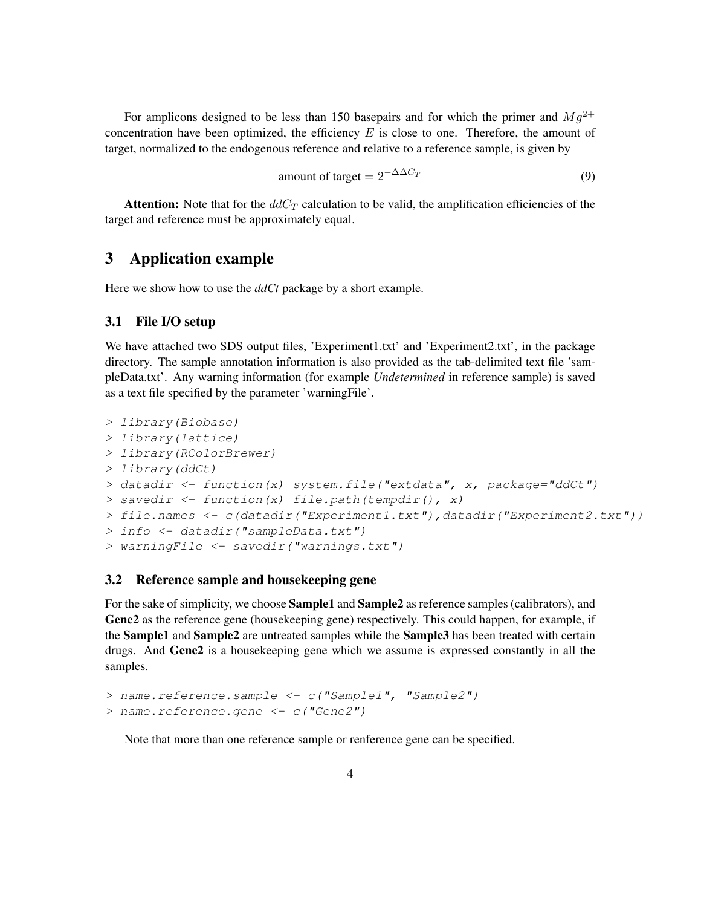For amplicons designed to be less than 150 basepairs and for which the primer and  $Mg^{2+}$ concentration have been optimized, the efficiency  $E$  is close to one. Therefore, the amount of target, normalized to the endogenous reference and relative to a reference sample, is given by

amount of target = 
$$
2^{-\Delta\Delta C_T}
$$
 (9)

**Attention:** Note that for the  $ddC_T$  calculation to be valid, the amplification efficiencies of the target and reference must be approximately equal.

## 3 Application example

Here we show how to use the *ddCt* package by a short example.

#### 3.1 File I/O setup

We have attached two SDS output files, 'Experiment1.txt' and 'Experiment2.txt', in the package directory. The sample annotation information is also provided as the tab-delimited text file 'sampleData.txt'. Any warning information (for example *Undetermined* in reference sample) is saved as a text file specified by the parameter 'warningFile'.

```
> library(Biobase)
> library(lattice)
> library(RColorBrewer)
> library(ddCt)
> datadir <- function(x) system.file("extdata", x, package="ddCt")
> savedir <- function(x) file.path(tempdir(), x)
> file.names <- c(datadir("Experiment1.txt"),datadir("Experiment2.txt"))
> info <- datadir("sampleData.txt")
> warningFile <- savedir("warnings.txt")
```
#### 3.2 Reference sample and housekeeping gene

For the sake of simplicity, we choose Sample1 and Sample2 as reference samples (calibrators), and Gene2 as the reference gene (housekeeping gene) respectively. This could happen, for example, if the Sample1 and Sample2 are untreated samples while the Sample3 has been treated with certain drugs. And Gene2 is a housekeeping gene which we assume is expressed constantly in all the samples.

```
> name.reference.sample <- c("Sample1", "Sample2")
> name.reference.gene <- c("Gene2")
```
Note that more than one reference sample or renference gene can be specified.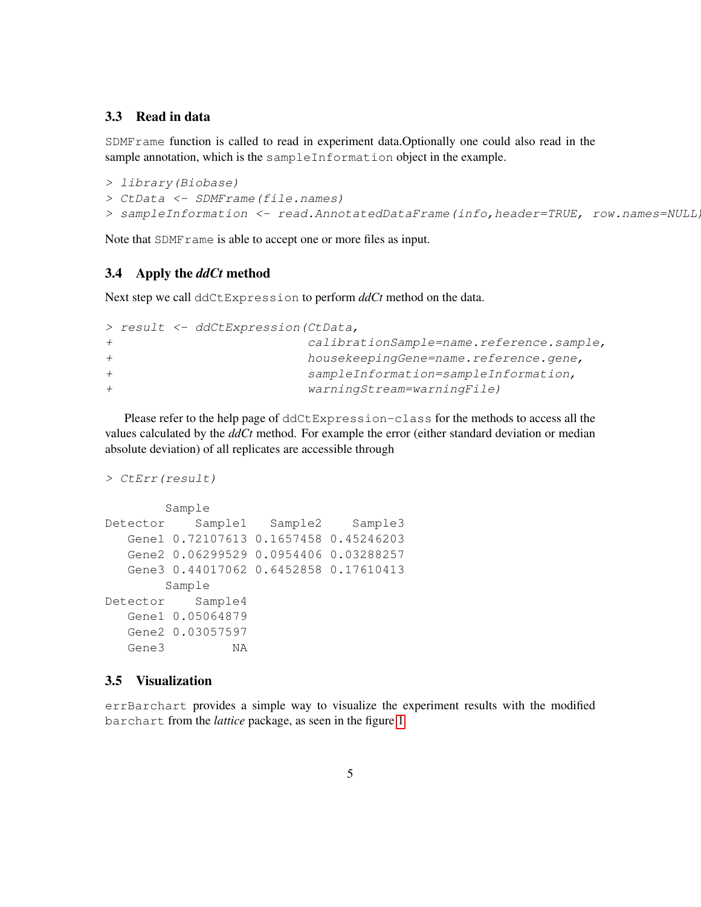#### 3.3 Read in data

SDMFrame function is called to read in experiment data.Optionally one could also read in the sample annotation, which is the sampleInformation object in the example.

```
> library(Biobase)
> CtData <- SDMFrame(file.names)
> sampleInformation <- read.AnnotatedDataFrame(info,header=TRUE, row.names=NULL)
```
Note that SDMF rame is able to accept one or more files as input.

#### 3.4 Apply the *ddCt* method

Next step we call ddCtExpression to perform *ddCt* method on the data.

```
> result <- ddCtExpression(CtData,
+ calibrationSample=name.reference.sample,
+ housekeepingGene=name.reference.gene,
+ sampleInformation=sampleInformation,
+ warningStream=warningFile)
```
Please refer to the help page of ddCtExpression-class for the methods to access all the values calculated by the *ddCt* method. For example the error (either standard deviation or median absolute deviation) of all replicates are accessible through

```
> CtErr(result)
```

```
Sample
Detector Sample1 Sample2 Sample3
  Gene1 0.72107613 0.1657458 0.45246203
  Gene2 0.06299529 0.0954406 0.03288257
  Gene3 0.44017062 0.6452858 0.17610413
       Sample
Detector Sample4
  Gene1 0.05064879
  Gene2 0.03057597
  Gene3 NA
```
#### 3.5 Visualization

errBarchart provides a simple way to visualize the experiment results with the modified barchart from the *lattice* package, as seen in the figure [1](#page-5-0)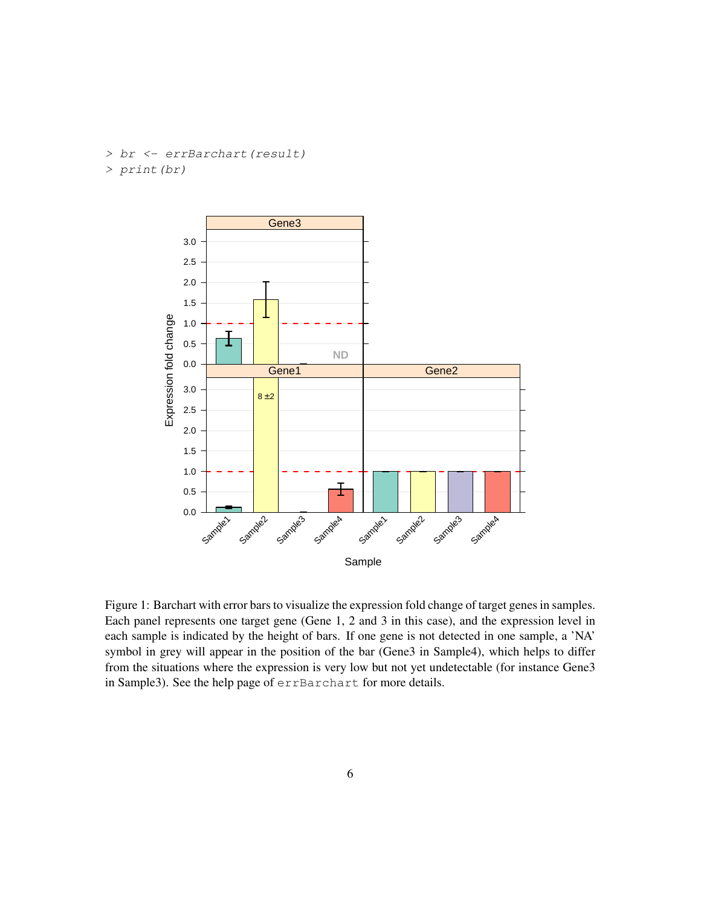> br <- errBarchart(result) > print(br)



<span id="page-5-0"></span>Figure 1: Barchart with error bars to visualize the expression fold change of target genes in samples. Each panel represents one target gene (Gene 1, 2 and 3 in this case), and the expression level in each sample is indicated by the height of bars. If one gene is not detected in one sample, a 'NA' symbol in grey will appear in the position of the bar (Gene3 in Sample4), which helps to differ from the situations where the expression is very low but not yet undetectable (for instance Gene3 in Sample3). See the help page of errBarchart for more details.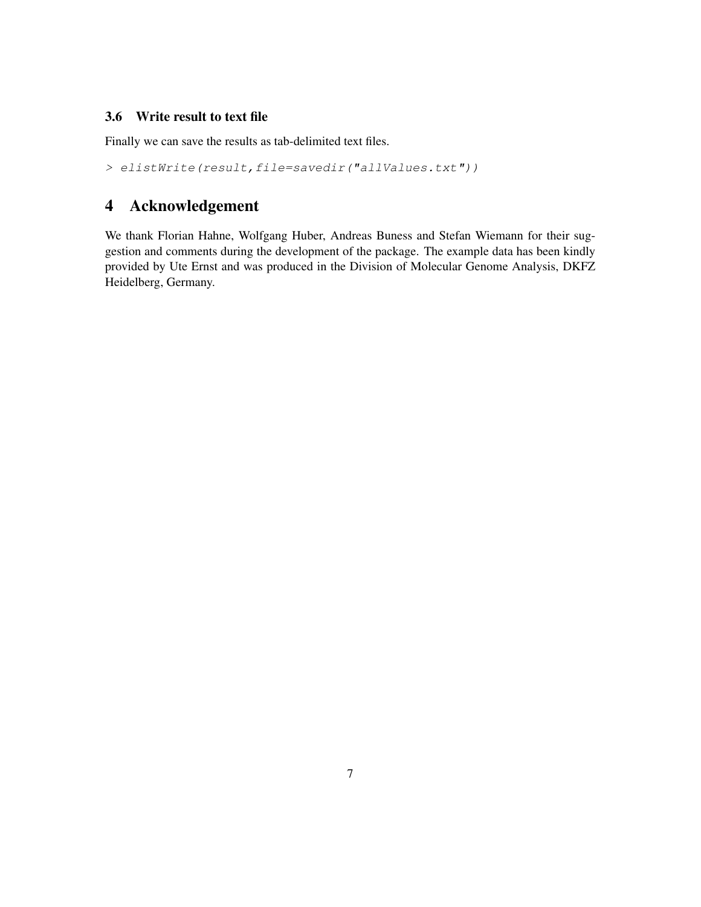#### 3.6 Write result to text file

Finally we can save the results as tab-delimited text files.

> elistWrite(result,file=savedir("allValues.txt"))

# 4 Acknowledgement

We thank Florian Hahne, Wolfgang Huber, Andreas Buness and Stefan Wiemann for their suggestion and comments during the development of the package. The example data has been kindly provided by Ute Ernst and was produced in the Division of Molecular Genome Analysis, DKFZ Heidelberg, Germany.